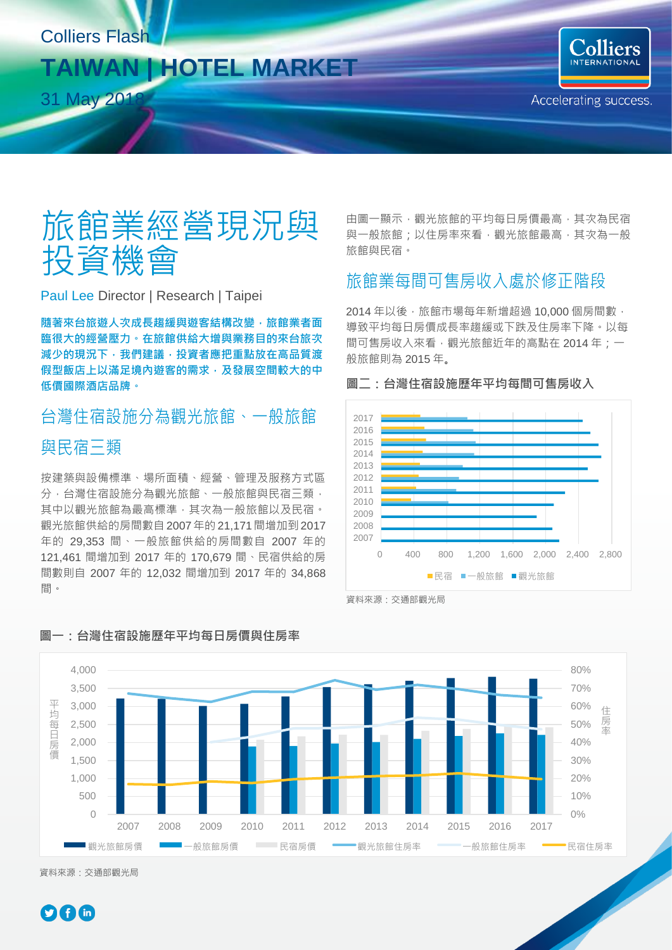### Colliers Flash

## **TAIWAN | HOTEL MARKET**

31 May 201

# 旅館業經營現況與 投資機會

Paul Lee Director | Research | Taipei

**隨著來台旅遊人次成長趨緩與遊客結構改變,旅館業者面 臨很大的經營壓力。在旅館供給大增與業務目的來台旅次 減少的現況下,我們建議,投資者應把重點放在高品質渡 假型飯店上以滿足境內遊客的需求,及發展空間較大的中 低價國際酒店品牌。**

## 台灣住宿設施分為觀光旅館、一般旅館 與民宿三類

按建築與設備標準、場所面積、經營、管理及服務方式區 分,台灣住宿設施分為觀光旅館、一般旅館與民宿三類, 其中以觀光旅館為最高標準,其次為一般旅館以及民宿。 觀光旅館供給的房間數自2007年的 21,171間增加到2017 年的 29,353 間、一般旅館供給的房間數自 2007 年的 121,461 間增加到 2017 年的 170,679 間、民宿供給的房 間數則自 2007 年的 12,032 間增加到 2017 年的 34,868 間。

由圖一顯示,觀光旅館的平均每日房價最高,其次為民宿 與一般旅館;以住房率來看,觀光旅館最高,其次為一般 旅館與民宿。

## 旅館業每間可售房收入處於修正階段

**圖二:台灣住宿設施歷年平均每間可售房收入**

2014年以後,旅館市場每年新增超過 10,000個房間數, 導致平均每日房價成長率趨緩或下跌及住房率下降。以每 間可售房收入來看,觀光旅館近年的高點在 2014 年;一 般旅館則為 2015 年。



資料來源:交通部觀光局



#### **圖一:台灣住宿設施歷年平均每日房價與住房率**

資料來源:交通部觀光局

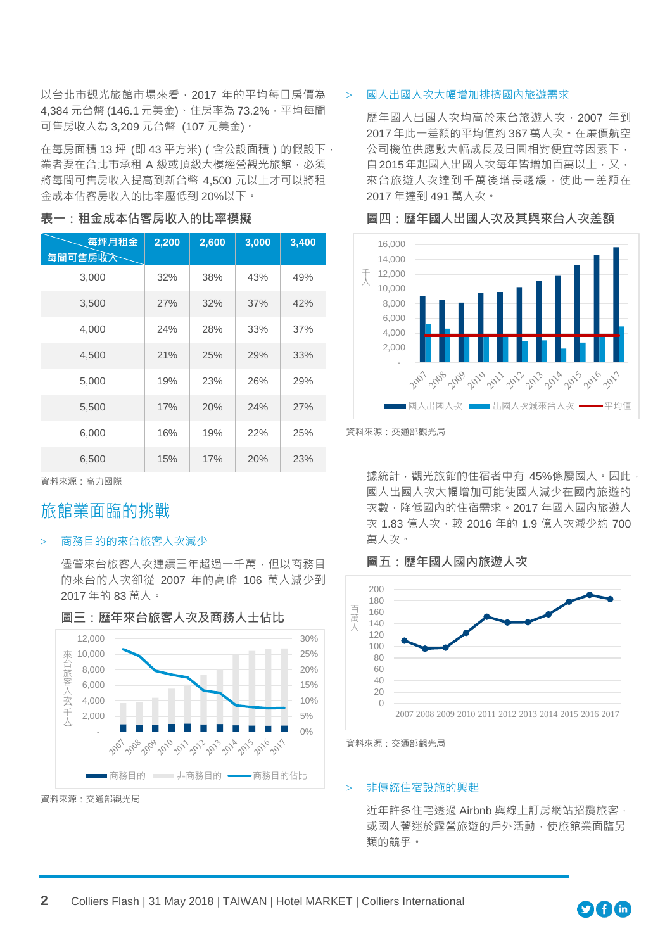以台北市觀光旅館市場來看,2017 年的平均每日房價為 4.384 元台幣 (146.1 元美金)、住房率為 73.2%, 平均每間 可售房收入為 3,209 元台幣 (107 元美金)。

在每房面積 13 坪 (即 43 平方米) (含公設面積)的假設下, 業者要在台北市承租 A 級或頂級大樓經營觀光旅館,必須 將每間可售房收入提高到新台幣 4,500 元以上才可以將租 金成本佔客房收入的比率壓低到 20%以下。

## **每坪月租金 每間可售房收入 2,200 2,600 3,000 3,400** 3,000 32% 38% 43% 49% 3,500 27% 32% 37% 42% 4,000 24% 28% 33% 37% 4,500 21% 25% 29% 33% 5,000 19% 23% 26% 29% 5,500 17% 20% 24% 27% 6,000 16% 19% 22% 25% 6,500 15% 17% 20% 23%

#### **表一:租金成本佔客房收入的比率模擬**

資料來源:高力國際

### 旅館業面臨的挑戰

#### 商務目的的來台旅客人次減少

儘管來台旅客人次連續三年超過一千萬,但以商務目 的來台的人次卻從 2007 年的高峰 106 萬人減少到 2017 年的 83 萬人。



#### **圖三:歷年來台旅客人次及商務人士佔比**

資料來源:交通部觀光局

#### > 國人出國人次大幅增加排擠國內旅遊需求

歷年國人出國人次均高於來台旅遊人次,2007 年到 2017 年此一差額的平均值約 367 萬人次。在廉價航空 公司機位供應數大幅成長及日圓相對便宜等因素下, 自2015年起國人出國人次每年皆增加百萬以上,又, 來台旅游人次達到千萬後增長趨緩,使此一差額在 2017 年達到 491 萬人次。

 16,000 14,000 千 12,000 人 10,000 8,000 6,000 4,000 2,000 - 2009 , 010 01, 01, 01, 01, 01 01, 01 ■國人出國人次 ■■出國人次減來台人次 ━━━平均值



據統計,觀光旅館的住宿者中有 45%係屬國人。因此, 國人出國人次大幅增加可能使國人減少在國內旅遊的 次數,降低國內的住宿需求。2017 年國人國內旅遊人 次 1.83 億人次,較 2016 年的 1.9 億人次減少約 700 萬人次。

**圖五: 歷年國人國內旅游人次** 



資料來源:交通部觀光局

#### > 非傳統住宿設施的興起

近年許多住宅透過 Airbnb 與線上訂房網站招攬旅客, 或國人著迷於露營旅遊的戶外活動,使旅館業面臨另 類的競爭。



資料來源:交通部觀光局